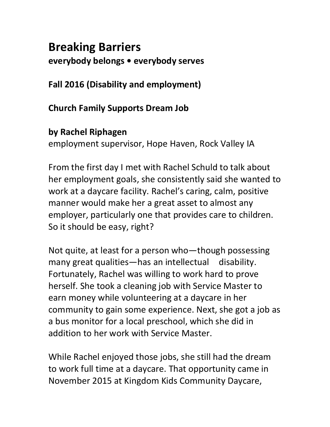# **Breaking Barriers everybody belongs • everybody serves**

**Fall 2016 (Disability and employment)**

**Church Family Supports Dream Job**

## **by Rachel Riphagen**

employment supervisor, Hope Haven, Rock Valley IA

From the first day I met with Rachel Schuld to talk about her employment goals, she consistently said she wanted to work at a daycare facility. Rachel's caring, calm, positive manner would make her a great asset to almost any employer, particularly one that provides care to children. So it should be easy, right?

Not quite, at least for a person who—though possessing many great qualities—has an intellectual disability. Fortunately, Rachel was willing to work hard to prove herself. She took a cleaning job with Service Master to earn money while volunteering at a daycare in her community to gain some experience. Next, she got a job as a bus monitor for a local preschool, which she did in addition to her work with Service Master.

While Rachel enjoyed those jobs, she still had the dream to work full time at a daycare. That opportunity came in November 2015 at Kingdom Kids Community Daycare,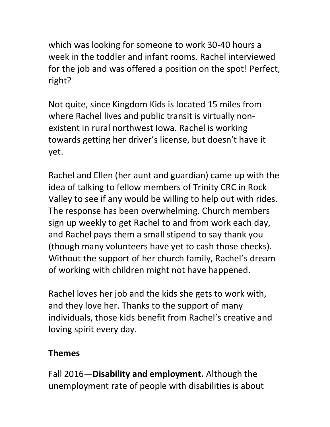which was looking for someone to work 30-40 hours a week in the toddler and infant rooms. Rachel interviewed for the job and was offered a position on the spot! Perfect, right?

Not quite, since Kingdom Kids is located 15 miles from where Rachel lives and public transit is virtually nonexistent in rural northwest Iowa. Rachel is working towards getting her driver's license, but doesn't have it yet.

Rachel and Ellen (her aunt and guardian) came up with the idea of talking to fellow members of Trinity CRC in Rock Valley to see if any would be willing to help out with rides. The response has been overwhelming. Church members sign up weekly to get Rachel to and from work each day, and Rachel pays them a small stipend to say thank you (though many volunteers have yet to cash those checks). Without the support of her church family, Rachel's dream of working with children might not have happened.

Rachel loves her job and the kids she gets to work with, and they love her. Thanks to the support of many individuals, those kids benefit from Rachel's creative and loving spirit every day.

# **Themes**

Fall 2016—**Disability and employment.** Although the unemployment rate of people with disabilities is about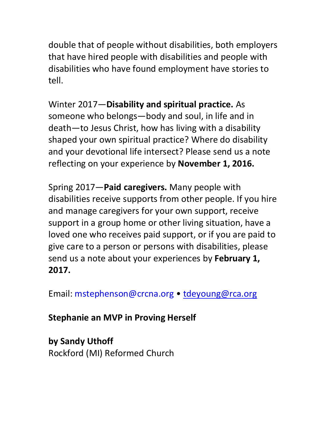double that of people without disabilities, both employers that have hired people with disabilities and people with disabilities who have found employment have stories to tell.

Winter 2017—**Disability and spiritual practice.** As someone who belongs—body and soul, in life and in death—to Jesus Christ, how has living with a disability shaped your own spiritual practice? Where do disability and your devotional life intersect? Please send us a note reflecting on your experience by **November 1, 2016.**

Spring 2017—**Paid caregivers.** Many people with disabilities receive supports from other people. If you hire and manage caregivers for your own support, receive support in a group home or other living situation, have a loved one who receives paid support, or if you are paid to give care to a person or persons with disabilities, please send us a note about your experiences by **February 1, 2017.**

Email: mstephenson@crcna.org • [tdeyoung@rca.org](mailto:tdeyoung@rca.org)

**Stephanie an MVP in Proving Herself**

**by Sandy Uthoff** Rockford (MI) Reformed Church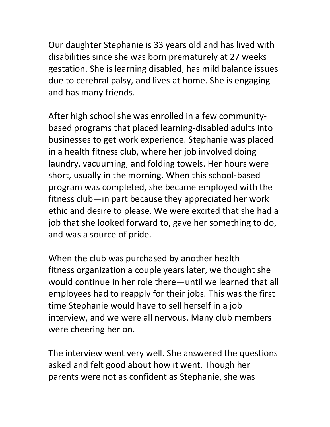Our daughter Stephanie is 33 years old and has lived with disabilities since she was born prematurely at 27 weeks gestation. She is learning disabled, has mild balance issues due to cerebral palsy, and lives at home. She is engaging and has many friends.

After high school she was enrolled in a few communitybased programs that placed learning-disabled adults into businesses to get work experience. Stephanie was placed in a health fitness club, where her job involved doing laundry, vacuuming, and folding towels. Her hours were short, usually in the morning. When this school-based program was completed, she became employed with the fitness club—in part because they appreciated her work ethic and desire to please. We were excited that she had a job that she looked forward to, gave her something to do, and was a source of pride.

When the club was purchased by another health fitness organization a couple years later, we thought she would continue in her role there—until we learned that all employees had to reapply for their jobs. This was the first time Stephanie would have to sell herself in a job interview, and we were all nervous. Many club members were cheering her on.

The interview went very well. She answered the questions asked and felt good about how it went. Though her parents were not as confident as Stephanie, she was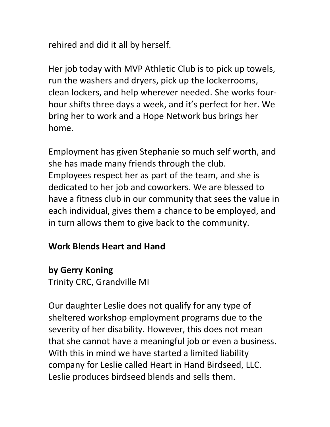rehired and did it all by herself.

Her job today with MVP Athletic Club is to pick up towels, run the washers and dryers, pick up the lockerrooms, clean lockers, and help wherever needed. She works fourhour shifts three days a week, and it's perfect for her. We bring her to work and a Hope Network bus brings her home.

Employment has given Stephanie so much self worth, and she has made many friends through the club. Employees respect her as part of the team, and she is dedicated to her job and coworkers. We are blessed to have a fitness club in our community that sees the value in each individual, gives them a chance to be employed, and in turn allows them to give back to the community.

#### **Work Blends Heart and Hand**

## **by Gerry Koning**

Trinity CRC, Grandville MI

Our daughter Leslie does not qualify for any type of sheltered workshop employment programs due to the severity of her disability. However, this does not mean that she cannot have a meaningful job or even a business. With this in mind we have started a limited liability company for Leslie called Heart in Hand Birdseed, LLC. Leslie produces birdseed blends and sells them.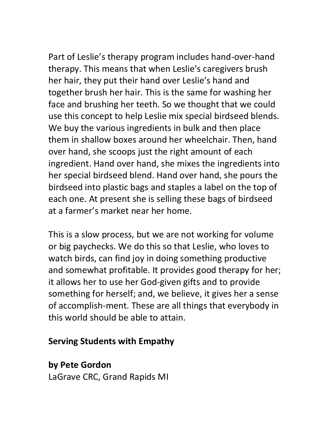Part of Leslie's therapy program includes hand-over-hand therapy. This means that when Leslie's caregivers brush her hair, they put their hand over Leslie's hand and together brush her hair. This is the same for washing her face and brushing her teeth. So we thought that we could use this concept to help Leslie mix special birdseed blends. We buy the various ingredients in bulk and then place them in shallow boxes around her wheelchair. Then, hand over hand, she scoops just the right amount of each ingredient. Hand over hand, she mixes the ingredients into her special birdseed blend. Hand over hand, she pours the birdseed into plastic bags and staples a label on the top of each one. At present she is selling these bags of birdseed

This is a slow process, but we are not working for volume or big paychecks. We do this so that Leslie, who loves to watch birds, can find joy in doing something productive and somewhat profitable. It provides good therapy for her; it allows her to use her God-given gifts and to provide something for herself; and, we believe, it gives her a sense of accomplish-ment. These are all things that everybody in this world should be able to attain.

## **Serving Students with Empathy**

at a farmer's market near her home.

**by Pete Gordon** LaGrave CRC, Grand Rapids MI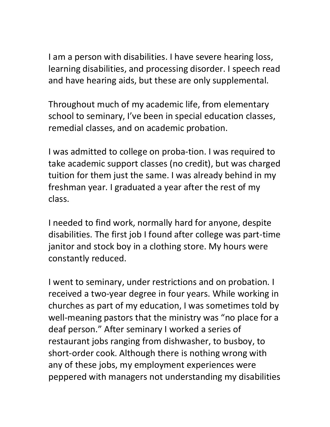I am a person with disabilities. I have severe hearing loss, learning disabilities, and processing disorder. I speech read and have hearing aids, but these are only supplemental.

Throughout much of my academic life, from elementary school to seminary, I've been in special education classes, remedial classes, and on academic probation.

I was admitted to college on proba-tion. I was required to take academic support classes (no credit), but was charged tuition for them just the same. I was already behind in my freshman year. I graduated a year after the rest of my class.

I needed to find work, normally hard for anyone, despite disabilities. The first job I found after college was part-time janitor and stock boy in a clothing store. My hours were constantly reduced.

I went to seminary, under restrictions and on probation. I received a two-year degree in four years. While working in churches as part of my education, I was sometimes told by well-meaning pastors that the ministry was "no place for a deaf person." After seminary I worked a series of restaurant jobs ranging from dishwasher, to busboy, to short-order cook. Although there is nothing wrong with any of these jobs, my employment experiences were peppered with managers not understanding my disabilities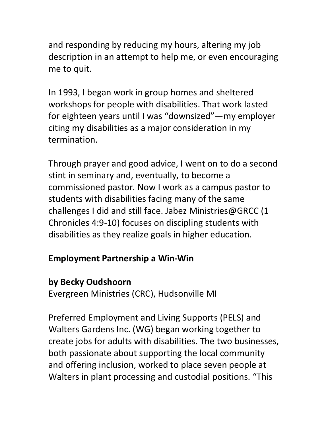and responding by reducing my hours, altering my job description in an attempt to help me, or even encouraging me to quit.

In 1993, I began work in group homes and sheltered workshops for people with disabilities. That work lasted for eighteen years until I was "downsized"—my employer citing my disabilities as a major consideration in my termination.

Through prayer and good advice, I went on to do a second stint in seminary and, eventually, to become a commissioned pastor. Now I work as a campus pastor to students with disabilities facing many of the same challenges I did and still face. Jabez Ministries@GRCC (1 Chronicles 4:9-10) focuses on discipling students with disabilities as they realize goals in higher education.

#### **Employment Partnership a Win-Win**

## **by Becky Oudshoorn**

Evergreen Ministries (CRC), Hudsonville MI

Preferred Employment and Living Supports (PELS) and Walters Gardens Inc. (WG) began working together to create jobs for adults with disabilities. The two businesses, both passionate about supporting the local community and offering inclusion, worked to place seven people at Walters in plant processing and custodial positions. "This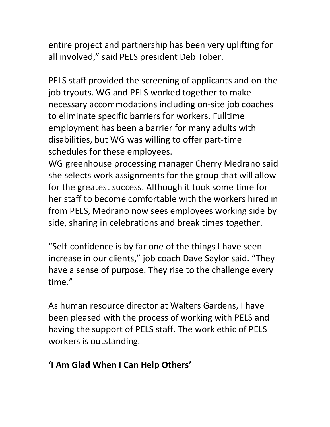entire project and partnership has been very uplifting for all involved," said PELS president Deb Tober.

PELS staff provided the screening of applicants and on-thejob tryouts. WG and PELS worked together to make necessary accommodations including on-site job coaches to eliminate specific barriers for workers. Fulltime employment has been a barrier for many adults with disabilities, but WG was willing to offer part-time schedules for these employees.

WG greenhouse processing manager Cherry Medrano said she selects work assignments for the group that will allow for the greatest success. Although it took some time for her staff to become comfortable with the workers hired in from PELS, Medrano now sees employees working side by side, sharing in celebrations and break times together.

"Self-confidence is by far one of the things I have seen increase in our clients," job coach Dave Saylor said. "They have a sense of purpose. They rise to the challenge every time."

As human resource director at Walters Gardens, I have been pleased with the process of working with PELS and having the support of PELS staff. The work ethic of PELS workers is outstanding.

# **'I Am Glad When I Can Help Others'**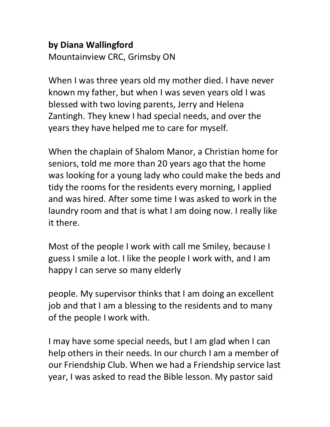#### **by Diana Wallingford** Mountainview CRC, Grimsby ON

When I was three years old my mother died. I have never known my father, but when I was seven years old I was blessed with two loving parents, Jerry and Helena Zantingh. They knew I had special needs, and over the years they have helped me to care for myself.

When the chaplain of Shalom Manor, a Christian home for seniors, told me more than 20 years ago that the home was looking for a young lady who could make the beds and tidy the rooms for the residents every morning, I applied and was hired. After some time I was asked to work in the laundry room and that is what I am doing now. I really like it there.

Most of the people I work with call me Smiley, because I guess I smile a lot. I like the people I work with, and I am happy I can serve so many elderly

people. My supervisor thinks that I am doing an excellent job and that I am a blessing to the residents and to many of the people I work with.

I may have some special needs, but I am glad when I can help others in their needs. In our church I am a member of our Friendship Club. When we had a Friendship service last year, I was asked to read the Bible lesson. My pastor said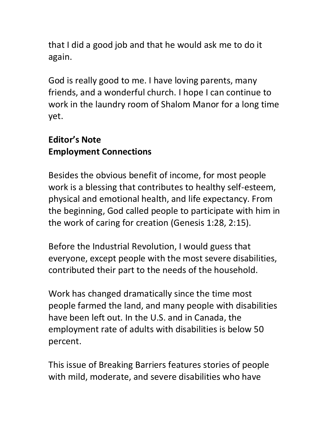that I did a good job and that he would ask me to do it again.

God is really good to me. I have loving parents, many friends, and a wonderful church. I hope I can continue to work in the laundry room of Shalom Manor for a long time yet.

# **Editor's Note Employment Connections**

Besides the obvious benefit of income, for most people work is a blessing that contributes to healthy self-esteem, physical and emotional health, and life expectancy. From the beginning, God called people to participate with him in the work of caring for creation (Genesis 1:28, 2:15).

Before the Industrial Revolution, I would guess that everyone, except people with the most severe disabilities, contributed their part to the needs of the household.

Work has changed dramatically since the time most people farmed the land, and many people with disabilities have been left out. In the U.S. and in Canada, the employment rate of adults with disabilities is below 50 percent.

This issue of Breaking Barriers features stories of people with mild, moderate, and severe disabilities who have